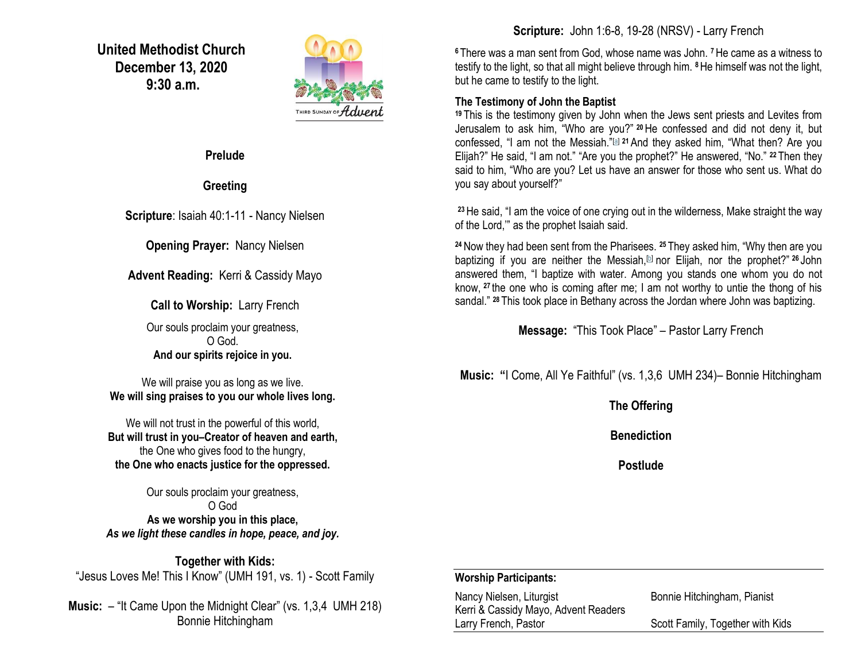**United Methodist Church December 13, 2020 9:30 a.m.**



**Prelude**

**Greeting**

**Scripture**: Isaiah 40:1-11 - Nancy Nielsen

**Opening Prayer:** Nancy Nielsen

**Advent Reading:** Kerri & Cassidy Mayo

**Call to Worship:** Larry French

Our souls proclaim your greatness, O God. **And our spirits rejoice in you.**

We will praise you as long as we live. **We will sing praises to you our whole lives long.**

We will not trust in the powerful of this world. **But will trust in you–Creator of heaven and earth,** the One who gives food to the hungry, **the One who enacts justice for the oppressed.**

Our souls proclaim your greatness, O God **As we worship you in this place,** *As we light these candles in hope, peace, and joy.*

**Together with Kids:** "Jesus Loves Me! This I Know" (UMH 191, vs. 1) - Scott Family

**Music:** – "It Came Upon the Midnight Clear" (vs. 1,3,4 UMH 218) Bonnie Hitchingham

**Scripture:** John 1:6-8, 19-28 (NRSV) - Larry French

**<sup>6</sup>** There was a man sent from God, whose name was John. **<sup>7</sup>**He came as a witness to testify to the light, so that all might believe through him. **<sup>8</sup>**He himself was not the light, but he came to testify to the light.

### **The Testimony of John the Baptist**

**<sup>19</sup>** This is the testimony given by John when the Jews sent priests and Levites from Jerusalem to ask him, "Who are you?" **<sup>20</sup>**He confessed and did not deny it, but confessed, "I am not the Messiah."[\[a\]](https://www.biblegateway.com/passage/?search=John+1%3A6-8%2C+19-28&version=NRSV#fen-NRSV-26055a) **<sup>21</sup>** And they asked him, "What then? Are you Elijah?" He said, "I am not." "Are you the prophet?" He answered, "No." **<sup>22</sup>** Then they said to him, "Who are you? Let us have an answer for those who sent us. What do you say about yourself?"

**<sup>23</sup>** He said, "I am the voice of one crying out in the wilderness, Make straight the way of the Lord,'" as the prophet Isaiah said.

**<sup>24</sup>**Now they had been sent from the Pharisees. **<sup>25</sup>** They asked him, "Why then are you baptizing if you are neither the Messiah,[\[b\]](https://www.biblegateway.com/passage/?search=John+1%3A6-8%2C+19-28&version=NRSV#fen-NRSV-26060b) nor Elijah, nor the prophet?" **<sup>26</sup>** John answered them, "I baptize with water. Among you stands one whom you do not know, **<sup>27</sup>** the one who is coming after me; I am not worthy to untie the thong of his sandal." **<sup>28</sup>** This took place in Bethany across the Jordan where John was baptizing.

**Message:** "This Took Place" – Pastor Larry French

**Music: "**I Come, All Ye Faithful" (vs. 1,3,6 UMH 234)– Bonnie Hitchingham

**The Offering**

**Benediction**

**Postlude**

#### **Worship Participants:**

Nancy Nielsen, Liturgist Bonnie Hitchingham, Pianist Kerri & Cassidy Mayo, Advent Readers Larry French, Pastor **Scott Family, Together with Kids**